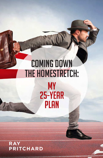# **COMING DOWN** THE HOMESTRETCH: **MY** 25-YEAR **PLAN**

**RAY RITCHARD** P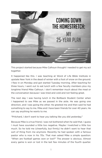

This project started because Mike Calhoun thought I needed to get my act together.

It happened like this. I was teaching at Word of Life Bible Institute in upstate New York in the dead of winter with a foot of snow on the ground. I flew in on Monday and got started Tuesday morning. After teaching for three hours, I went out to eat lunch with a few faculty members plus my longtime friend Mike Calhoun. I don't remember much about the meal or the conversation because I was tired and cold and not feeling great.

The next day I was having lunch in the Bollback Student Center when I happened to see Mike as we passed in the aisle. He was going one direction, and I was going the other. He greeted me and then said he had something to say to me. Mike and I have been friends for over 40 years. He can say anything he wants to me.

"Pritchard, I don't want to hear you talking like you did yesterday."

Because Mike is a true friend, I was not bothered when he said that. I guess I must have sounded a little too negative. Maybe I kvetched a little too much. So he told me (cheerfully, but firmly) he didn't want to hear that sort of thing from me anymore. Recently he had spoken with a famous pastor who is now in his 70s. That man asked Mike a simple question: "When are football games won or lost?" The answer is obvious. Almost every game is won or lost in the last few minutes of the fourth quarter.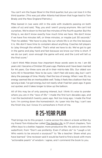You can't win the Super Bowl in the third quarter, but you can lose it in the third quarter. (This was just after Atlanta had blown that huge lead to Tom Brady and the New England Patriots.)

Mike leaned in (we were still in the aisle with students passing on both sides of us) and said, "Ray, you and I aren't young anymore. We can't kid ourselves. We're down to the last few minutes of the fourth quarter. But the thing is, we don't know exactly how much time we have. We don't know if we have five minutes left, or three minutes, or maybe just 30 seconds." Then he added, "We have to play like our whole life is on the line because it is. We don't have time to complain about anything. Coaches tell players to 'play through the whistle.' That's what we have to do. We've got to get in the game and play hard and fast because we know our time is short. If we do our part, soon enough the game will end, and the Lord will tell us the final score."

*I don't think Mike knows how important those words were to me.* I am 66 years old. I became a Christian 50 years ago. Marlene and I have been married for 44 years. Our three sons are all in their mid-to-late 30s. Our oldest son turns 40 in November. Now to be sure, I don't feel old every day, but I can't deny the passage of time. Mostly I feel the loss of energy. When I was 30, my energy seemed like an inexhaustible well. Today it feels like a balloon that has sprung a leak. I've got energy, but not nearly what I had ten years ago. It goes out quicker, and it takes longer to blow up the balloon.

All of this may be of only passing interest, but I think it's wise to ponder where you are in the "race of life." I made the first turn decades ago, and I ran the backstretch twenty years ago. Not too long ago, I made the final turn. I'm coming down the homestretch. As I peer into the fog, I can't see the finish line, but I know it's somewhere in front of me.

# A 25-YEAR PLAN

That brings me to this project. I came across this idea in a book written by my friend Tom Klobucher called The Gentle Life. In 37 short chapters, Tom offers keys to a better, happier, more productive life. His advice covers the waterfront, from "Don't use profanity: Even if others do" to "Laugh a lot: Who wants to be around a sourpuss?" to "Be a teacher: Share what you have learned." One reviewer said it would be hard to find a book with more "actionable pearls" of wisdom. I agree, and I commend the book to you.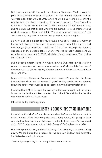But it was chapter 36 that got my attention. Tom says, "Build a plan for your future: No matter how old you are." In that chapter Tom sets out his "25-year-plan" from 2010 to 2035 when he will be 95 years old. Along the way, he faces the obvious question, "How do you know you're going to live to be 95?" The answer is, he doesn't. No one knows the future—only God. But he points out that people who live productive lives see themselves as works-in-progress. They don't think, "I'm done here" or "I've arrived." Like Joshua of old, they believe there is always more land to conquer.

So how long do I expect to live? I found a website (there are many of them) that allows you to punch in your personal data, hit a button, and then you get your predicted "Death Date." It's not all hocus-pocus. A lot of it is based on the actuarial tables. Every time I go to that website, I end up with the same date: July 8, 2025, which is only six years away. That makes you stop and think.

But it doesn't matter. *It's not how long you live, but what you do with the years you are given.* All my days were written in God's book before one of them came to be (Psalm 139:16). I have no advance information about how long I will live.

I agree with Tom Klobucher. It's a good idea to make a 25-year plan. The things I have written down are not so much "goals" as they are hopes and dreams about the sort of man I want to be as I come down the homestretch of life.

I want to thank Mike Calhoun for giving me the wise insight that the game is won or lost in the last few minutes. And I thank Tom Klobucher for the challenge to write a 25-year plan.

If I live to be 91, here's my plan.

#### 1. Stay in good shape by riding my bike

I wrote the first draft of my plan a few days before my bike accident in early January. After three surgeries and a long rehab, it's going to be a while before I can get on my bike again. In the last few years I've averaged riding 3000 miles a year, with a total of over 47,000 miles since 1996.

Here's the point. As we get older, the body starts wearing out and breaking down. We can't stop that process, but we can slow it down and delay the inevitable by staying in shape.

That's why I'm getting back on my bike as soon as I can.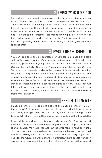# 2. Keep growing in the Lord

Somewhere I read about a mountain climber who died during a steep ascent. To honor him, his friends put on his gravestone, "He died climbing." That seems like an admirable goal for all of us. I don't want to coast down the last few yards of the racetrack. I want to run through the tape, going as fast as I can. That's not a statement about my schedule but about my desire. I want to die climbing. That means growing in my knowledge of the Lord, growing in my dependence on the Spirit, growing in my love for others, growing in my commitment to the gospel, and growing in the spiritual graces.

#### 3. Invest in the next generation

You can look back and be depressed, or you can look ahead and start smiling. *I choose to look to the future.* I'm restless in my soul to help train the rising generation of young Christian leaders. That's why we travel to Uganda, Kenya, India, China, the Philippines, South Korea, and Ukraine. Travel isn't getting easier, and now that I have all this hardware in my ankle, I'm going to be questioned by the TSA every time. No big deal. Here's the reward. I get to spend a week teaching 20-30 bright, gifted young people who want to learn God's Word. As I teach them Galatians or James or Daniel or 1 Peter, God's Spirit causes the lights to go on. I know they will take what I give them and pass it along to others who will pass it along to others. That's 2 Timothy 2:2 in action. It starts in the classroom. What a treat! What an honor!

#### **BE FAITHFUL TO MY WIFE**

I made a promise to Marlene long ago, and she made a promise to me. By the grace of God, we are still together, still happy, and still laughing with each other, walking side by side. The truth is, one of us is likely to go home to be with the Lord first. Until that day comes, we walk together through life.

I learned the importance of this in our early days in Oak Park. We ended the service in those days with me walking down from the pulpit to where she was seated. We would then walk out together hand-in-hand during the closing prayer. A woman told me she came to church mostly so she could watch us holding hands as we walked out of the sanctuary. It gave her hope for the future. In a world of broken promises, where people wonder if any marriage can make it, I accept the challenge of staying faithful in word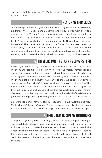and deed until the very end. That's the promise I made, and it's a promise I intend to keep.

### 5. Mentor my grandkids

Ten years ago we had no grandchildren. Then they started arriving—Knox, Eli, Penny, Violet, Zoe, Hannah, Joshua, and Niko. I agree with everyone else about this. You can't know how wonderful grandkids are until you have some. They represent the future. I look at their beautiful faces and think, "I have not wasted my time on planet earth. They will carry on after I am gone." They represent the hope of the future. That's where the action is. So I pray with them and for them and do all I can to build into them while I have a chance. Thank God for FaceTime and Skype and all the other amazing technologies that shrink the distance and bring us close together.

# 6. Travel as much as I can as long as I can

I think I got this from my parents. Not that they were world travelers, but my mom and dad traveled a lot in my growing-up years. I remember one moment when a cemetery salesman tried to interest my parents in buying a "family plot" where we would all be buried together. I can still remember my mom laughing and saying, "We can't do that. We expect our boys to scatter to the four winds." I think I've done the most "scattering" of the four Pritchard boys, but we've all done our fair share of travel. It's good for the soul to get out and about and see this big world God made. It's lifechanging to visit the Holy Land and walk through the land of the Bible. You gain a new perspective by traveling to India or China or the Philippines.

So far Marlene and I have visited 40+ countries. I have Australia and New Zealand and Chile and Germany (among others) on my bucket list. I plan to travel and teach God's Word as long as I'm able and the doors are open.

# 7. Gracefully accept my limitations

One part of growing old is realizing you can't do everything you thought you could do. Live long enough, and you'll end up in a rocking chair trying to figure out how to make the remote control work so you can watch the Great British Baking Show on Netflix. The key here is to "gracefully" accept the limitations that come as time passes. I can't do anything as fast as I could 20 years ago. Either I get grouchy about that, or I accept it as from the Lord.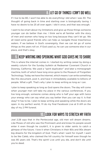# 8. Let go of things I can't do well

If I live to be 80, I won't be able to do everything I did when I was 30. The thought of going back in time and starting over is biologically taxing. I have no desire to be 25 all over again. I did it once, and that was enough.

I want to be smart about my limitations and give up those things someone younger can do better than me. I think we're all familiar with the story of men and women who hang on too long because they can't let go. We all need some good friends who can help us navigate those treacherous waters. If we believe in God's sovereignty, then we can let go of some things as the years roll on. If God used us, he can use someone else in our place, and that's okay.

# 9. Keep writing and speaking what God gives me to share

This is where the internet comes in. I started my writing career by doing a weekly column for the Sunday bulletin at Redeemer Covenant Church in Downey, California. We used a "spirit duplicator" and later a mimeograph machine, both of which have long since gone to the Museum of Forgotten Technology. Today we have the internet, which means I can write something like this document, post it, and have it immediately available to billions of people. What a gift. That's why I plan to keep writing as long as I can.

I plan to keep speaking as long as God opens the doors. The day will come when younger men will take my place in the various conferences. If you live long enough, someone comes along who is half your age with twice your energy who can say what you say better than you can say it. Is that okay? It has to be. I plan to keep writing and speaking while the doors are open. In my perfect world, I'll do my final Facebook Live at 9 AM on the day of my 2 PM funeral.

#### 10. Look for ways to stretch my faith

Joel 2:28 says that in the Pentecostal age, old men will dream dreams. Like Moses of old who saw the Promised Land and knew his people would enter it even though he couldn't, it is given to older saints to catch a glimpse of the future. I love it when Christians in their 80s and 90s dream big dreams for the kingdom of God. That's what I want for myself. I want to be like Caleb, who claimed the hill country for himself even though he was 85 years old. That's the spirit! Live until you die, and don't die until you're dead.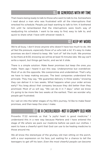# 11. Be generous with my time

That means being ready to talk to those who want to talk to me. Somewhere I read about a man who was frustrated with all the interruptions that wrecked his schedule. People just kept wanting to talk to him. It bothered him until he remembered that the interruptions were God's way of readjusting his schedule. I want to be easy to find, easy to talk to, and quick to share what I have with whoever needs it.

### 12. Keep my word

We're all busy. I don't know anyone who doesn't have too much to do. *We*  all feel the pressure, especially those of us who talk a lot. It's easy to make promises we don't intend to keep. We "sort of" tell the truth. We promise to be there at 8:30, knowing we will be at least 15 minutes late. We say we'll write a report, but things get hectic, and we let it slide.

There is a simple solution: *Make fewer promises but keep the ones you make.* Years ago I heard it put this way: Underpromise but overdeliver. Most of us do the opposite. We overpromise and underdeliver. That's why we have to keep making excuses. The best companies understand this principle. They may say, "We guarantee delivery in three weeks," knowing they can deliver it in two weeks. What happens when your order arrives early? You brag about that company because they did better than they promised. Most of us will say, "We can do it in 7 days," when we know it's going to be more like two weeks at the earliest. Then we wonder why people get frustrated.

As I sail on into the latter stages of my life's journey, I'd like to make fewer promises, and then keep the ones I make.

#### 13. Be a cheerleader—not a grumpy old man

Proverbs 17:22 reminds us that "a joyful heart is good medicine." I understand this in a new way because Marlene and I have entered the stage of life where we pack our medicine before we pack our clothes. I want to have a cheerful spirit that God can use to be healing medicine to those around me.

We all know the stereotype of the grumpy old man sitting on the porch, with a sour expression on his face, just waiting for a chance to tell the teenagers to get off his lawn. *Even the most cheerful people can become*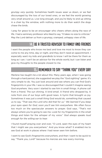*grumpy very quickly.* Sometimes health issues wear us down, or we feel discouraged by the loss of our loved ones, or we feel the world growing very small around us. Live long enough, and you're likely to end up sitting in a chair by the window, with nothing more to do than watch the dogs chase the birds.

I pray for grace to be an encourager who cheers others along the race of life. I had a seminary professor who liked to say, "It takes no size to criticize." May the Lord deliver us from a grumpy, cramped, unhappy view of life.

# 14. Be a trusted advisor to family and friends

I want the people who know me best and love me most to know they can come to me any time, day or night, and they don't need an appointment. I especially want my kids and grandkids to know I will be there for them as long as I can. I can't be an advisor for the whole world, but I can listen and give my thoughts to the people closest to me.

### 15. Remember to say "Thank you" every day

*Marlene has taught me a lot about this.* Many years ago, when I was going through a hard period, she suggested we play the "God sighting" game. It's very simple to do. You just look around and see where you can find God's fingerprints in your life. I was so discouraged that I couldn't imagine seeing God anywhere. Very soon I started to see him in small things. A phone call from a friend. The sun shining. A kind email. A friend who dropped by. A note from one of our boys with good news. A hymn that brought us joy. Sometimes it was just a small thing God would do, something that caused us to say, "That was the Lord who did that for us." *We learned if you keep your eyes open for God, soon you'll see him everywhere.* We often focus too much on the spectacular answers to prayer. God says, "That's not always where you're going to see me. Look for my fingerprints in the small things and listen for the whisper of my voice." *God always speaks loud enough for the willing ear to hear.*

I found myself praying over and over, "O Lord, open the eyes of my heart that I might see you everywhere." And you know what? It enabled me to see God at work in places where I had never seen him before.

I want to see God's fingerprints everywhere, and then I want to be quick to say, "Thank you, Lord!" because his mercies are new every morning.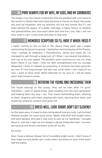# 16. Pray always for my wife, my kids, and my grandkids

The longer I live, the clearer it becomes that the greatest gift I can leave to the world is a family that loves God and tries to live by his Word. My books will soon be forgotten, and my sermons will not last forever. But if I can leave behind the legacy of a godly marriage, a happy family, of children and grandchildren who love each other and love the Lord, then I will not have lived in vain. I must work and pray to that end.

# 17. Memorize Scripture so I'll have it when I need it

I regret coming to this so late in life. About three years ago I began memorizing Scripture in earnest. I started by memorizing ten of the Psalms. Then I worked on Galatians, 1 Thessalonians, James and Isaiah 55. I've managed to get through a large part of 1 Peter. I use several translations, and I go at my own speed. The benefits seem enormous to me. As I hide God's Word in my heart, I find my faith strengthened and my courage deepened. I think it's helped my preaching. It certainly has been good for my soul. If I live long enough, the day may come when I can't read on my own. I want to have God's Word tattooed on my soul so I will be ready when that moment comes.

#### 18. Befriend the young and encourage them

The future belongs to the young. They will be here after I'm gone. Therefore, I want to spend these years building into the next generation and helping them any way I can. That means befriending them, listening to them, laughing with them, praying with them, learning from them, and imparting whatever wisdom God gives me.

#### 19. Dress well, look sharp, don't get slovenly

As the years pass, it's easy to stop caring about how you look. Last summer Marlene bought me some jazzy socks. Really wild stuff with bright colors and bold designs. She said it was time to jazz up my wardrobe. I thought about it, and she's right (as she always is about things like that). I've worn boring blue and brown and black socks all my life.

No more!

Now I have a dresser drawer full of incredibly bright socks. I don't know if they make me look better, but I smile when I put them on, and I think that's half the battle.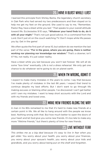# 20. Have a blast while I last

I learned this principle from Shirley Banta, the legendary church secretary in Oak Park who had served my two predecessors and then stayed on to help me get my feet on the ground. She used to say to me, "Remember, Pastor Ray, have a blast while you last." That speaks to your overall attitude toward life. Ecclesiastes 9:10 says, "Whatever your hand finds to do, do it with all your might." That's not just good advice. It's a command from the Lord. Don't just sit on the couch watching TV. Don't mope while life passes you by. Get in the game!

We often quote the first part of verse 10, but seldom do we mention the last part of the verse: "For in the grave, where you are going, there is neither working nor planning nor knowledge nor wisdom." That's a downer, isn't it? No, not really. It's just sober reality.

Have a blast while you last because you won't last forever. We will all do some "box time" eventually. *Life is not a dress rehearsal.* We only get one chance to do whatever we're going to do on planet earth.

### 21. When I'm wrong, admit it

I expect to make many mistakes in the years to come. I say that because I've made plenty of mistakes in the last 66 years. I expect that trend to continue despite my best efforts. But I don't want to go through life making excuses or blaming other people. I've discovered I can't get better until I own my mistakes. I want to keep short accounts with the Lord and with my friends and loved ones.

#### 22. Make new friends along the way

A man in his 80s remarked to me that it's hard to make new friends at a certain point in life. We all like to hang around with the people we know best. Nothing wrong with that. But how much better to open the doors of your heart and let God give you some new friends. It's too late to make any more "lifetime friends," but there's plenty of time for new friends.

# LIVE WITHOUT FEAR

*This strikes me as a big deal because it's easy to live in fear when you get older.* You worry about your health, you worry about your finances, you worry about your spouse's health, you worry about your kids and grandkids, and you worry about being put on the shelf and forgotten.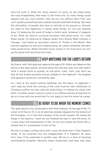And the truth is, there are many reasons to worry as you head down the long straightaway that leads to the finish line. So many things could happen that you can't predict. How do you live without fear? *First, you can't isolate yourself because isolation breeds distorted thinking.* We need the stimulation of people who love us and like to be around us. *Second, we need to find happiness in doing small things.* It's not just keeping busy. It's believing the work of today is God's work, whatever it happens to be. *Third, we need to surround ourselves with good music.* As I type these words, I'm listening to Majesty Radio from Moody Bible Institute in Chicago. I just heard an up-tempo version of "Power in the Blood" that had me tapping my toes and singing along. As Luther remarked, the devil hates good music. When Christian music comes in, he must leave. So turn up the good stuff and drive him nuts!

# 24. Keep watching for the Lord's return

My friend John Tahl died last week at the age of 91. When we talked on the phone a few days earlier, we both knew the end was near, but John didn't think it would come so quickly. At one point I said, "John, why don't we skip all this funeral business and go straight to the Rapture?" He laughed and agreed it would be a wonderful idea.

As I look at the world rushing headlong into the abyss of judgment, I can't help but think the coming of the Lord must be near. Multitudes of Christians before me have said the same thing. I'm taking my stand with them. I'd rather expect Jesus to come in my lifetime and be wrong than to be so in love with the world that I'm not ready to see him when he comes.

#### 25. Be ready to die when the moment comes

This goes back to my conversation with Mike Calhoun. At the age of 66, I'm closer to 91 than to 31. A lot of sand has already slipped into the bottom of the hourglass. I'm in the final minutes of the fourth quarter. My whole life hangs in the balance. I have not yet finished the race or won the prize. As I come down the homestretch of life, I'm not sure where the finish line is, except that it's somewhere in front of me.

*My job is to keep running hard until I cross the finish line.* If that happens today, I'll be surprised but not disappointed. If it happens 25 years from now, I'll be surprised in another way. We live in a time of amazing technological progress. Recently Israeli researchers said they may have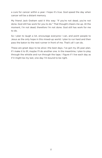a cure for cancer within a year. I hope it's true. God speed the day when cancer will be a distant memory.

My friend Jack Graham said it this way: "If you're not dead, you're not done. God still has work for you to do." That thought cheers me up. At the moment, I'm not dead; therefore I'm not done. God still has work for me to do.

So I plan to laugh a lot, encourage everyone I can, and point people to Jesus as the only hope in this mixed-up world. I plan to run hard and then pass the baton to the next runner in front of me. That's all I can do.

These are great days to be alive—the best days. I've got my 25-year plan. If I make it to 91, maybe I'll do another one. In the meantime, I plan to play through the whistle and run through the tape. I figure if I live each day as if it might be my last, one day I'm bound to be right.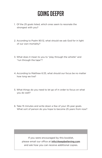# GOING DEEPER

- 1. Of the 25 goals listed, which ones seem to resonate the strongest with you?
- 2. According to Psalm 90:12, what should we ask God for in light of our own mortality?
- 3. What does it mean to you to "play through the whistle" and "run through the tape"?
- 4. According to Matthew 6:33, what should our focus be no matter how long we live?
- 5. What things do you need to let go of in order to focus on what you do well?
- 6. Take 15 minutes and write down a few of your 25-year goals. What sort of person do you hope to become 25 years from now?

If you were encouraged by this booklet, please email our office at info@keepbelieving.com and ask how you can receive additional copies.